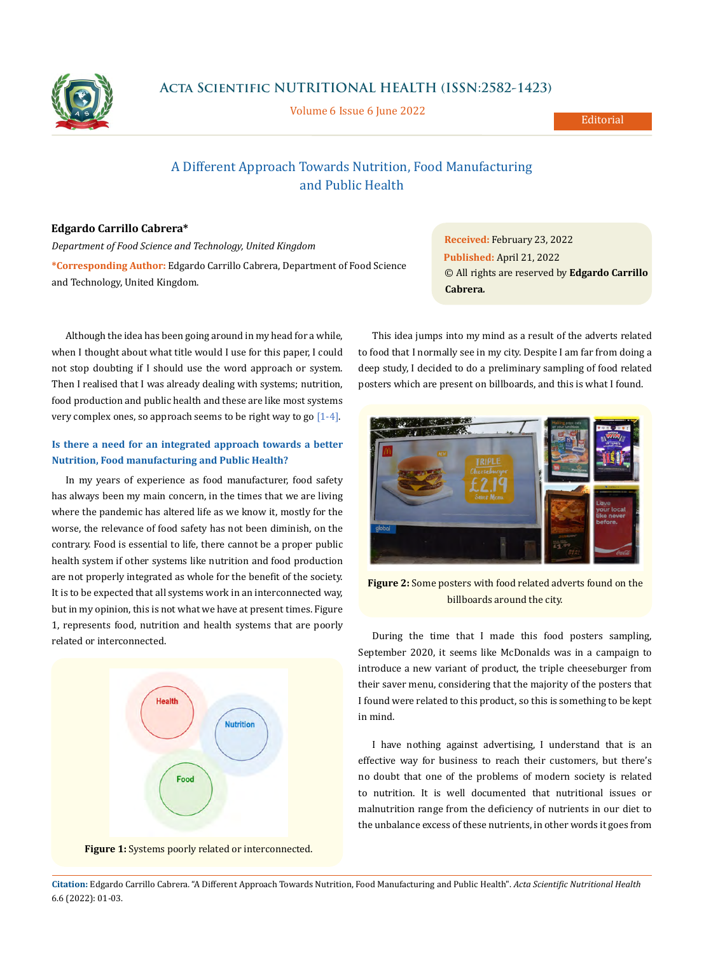

**Acta Scientific NUTRITIONAL HEALTH (ISSN:2582-1423)**

Volume 6 Issue 6 June 2022

# A Different Approach Towards Nutrition, Food Manufacturing and Public Health

### **Edgardo Carrillo Cabrera\***

*Department of Food Science and Technology, United Kingdom* **\*Corresponding Author:** Edgardo Carrillo Cabrera, Department of Food Science and Technology, United Kingdom.

Although the idea has been going around in my head for a while, when I thought about what title would I use for this paper, I could not stop doubting if I should use the word approach or system. Then I realised that I was already dealing with systems; nutrition, food production and public health and these are like most systems very complex ones, so approach seems to be right way to go [1-4].

## **Is there a need for an integrated approach towards a better Nutrition, Food manufacturing and Public Health?**

In my years of experience as food manufacturer, food safety has always been my main concern, in the times that we are living where the pandemic has altered life as we know it, mostly for the worse, the relevance of food safety has not been diminish, on the contrary. Food is essential to life, there cannot be a proper public health system if other systems like nutrition and food production are not properly integrated as whole for the benefit of the society. It is to be expected that all systems work in an interconnected way, but in my opinion, this is not what we have at present times. Figure 1, represents food, nutrition and health systems that are poorly related or interconnected.





**Received:** February 23, 2022 **Published:** April 21, 2022 © All rights are reserved by **Edgardo Carrillo Cabrera***.*

This idea jumps into my mind as a result of the adverts related to food that I normally see in my city. Despite I am far from doing a deep study, I decided to do a preliminary sampling of food related posters which are present on billboards, and this is what I found.



**Figure 2:** Some posters with food related adverts found on the billboards around the city.

During the time that I made this food posters sampling, September 2020, it seems like McDonalds was in a campaign to introduce a new variant of product, the triple cheeseburger from their saver menu, considering that the majority of the posters that I found were related to this product, so this is something to be kept in mind.

I have nothing against advertising, I understand that is an effective way for business to reach their customers, but there's no doubt that one of the problems of modern society is related to nutrition. It is well documented that nutritional issues or malnutrition range from the deficiency of nutrients in our diet to the unbalance excess of these nutrients, in other words it goes from

**Citation:** Edgardo Carrillo Cabrera*.* "A Different Approach Towards Nutrition, Food Manufacturing and Public Health". *Acta Scientific Nutritional Health*  6.6 (2022): 01-03.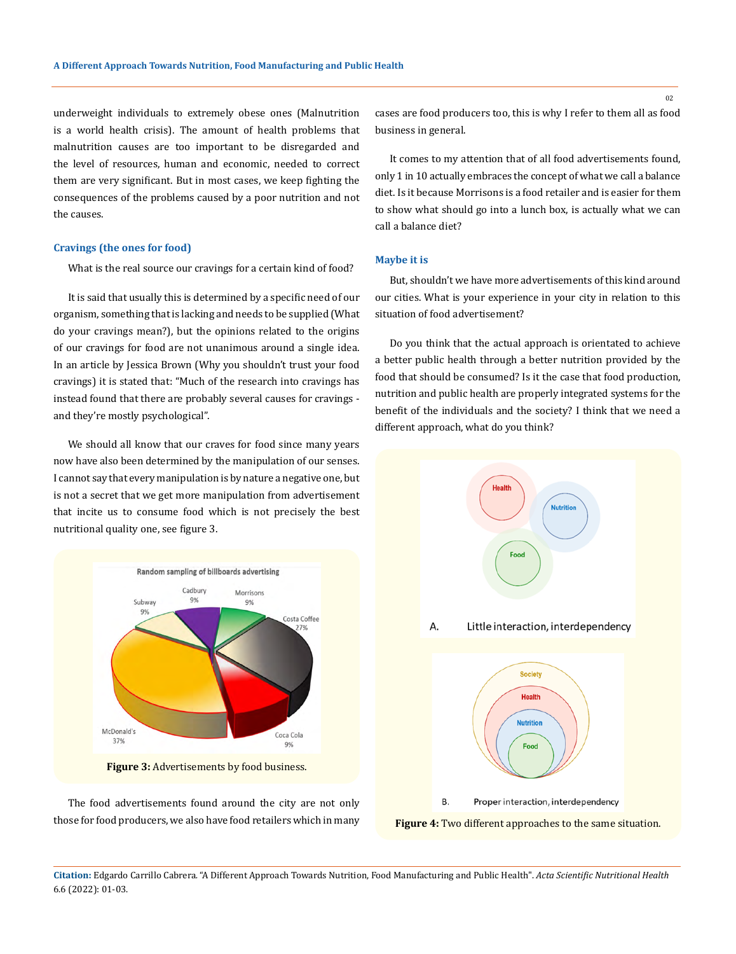underweight individuals to extremely obese ones (Malnutrition is a world health crisis). The amount of health problems that malnutrition causes are too important to be disregarded and the level of resources, human and economic, needed to correct them are very significant. But in most cases, we keep fighting the consequences of the problems caused by a poor nutrition and not the causes.

#### **Cravings (the ones for food)**

What is the real source our cravings for a certain kind of food?

It is said that usually this is determined by a specific need of our organism, something that is lacking and needs to be supplied (What do your cravings mean?), but the opinions related to the origins of our cravings for food are not unanimous around a single idea. In an article by Jessica Brown (Why you shouldn't trust your food cravings) it is stated that: "Much of the research into cravings has instead found that there are probably several causes for cravings and they're mostly psychological".

We should all know that our craves for food since many years now have also been determined by the manipulation of our senses. I cannot say that every manipulation is by nature a negative one, but is not a secret that we get more manipulation from advertisement that incite us to consume food which is not precisely the best nutritional quality one, see figure 3.



**Figure 3:** Advertisements by food business.

The food advertisements found around the city are not only those for food producers, we also have food retailers which in many cases are food producers too, this is why I refer to them all as food business in general.

It comes to my attention that of all food advertisements found, only 1 in 10 actually embraces the concept of what we call a balance diet. Is it because Morrisons is a food retailer and is easier for them to show what should go into a lunch box, is actually what we can call a balance diet?

#### **Maybe it is**

But, shouldn't we have more advertisements of this kind around our cities. What is your experience in your city in relation to this situation of food advertisement?

Do you think that the actual approach is orientated to achieve a better public health through a better nutrition provided by the food that should be consumed? Is it the case that food production, nutrition and public health are properly integrated systems for the benefit of the individuals and the society? I think that we need a different approach, what do you think?



**Figure 4:** Two different approaches to the same situation.

**Citation:** Edgardo Carrillo Cabrera*.* "A Different Approach Towards Nutrition, Food Manufacturing and Public Health". *Acta Scientific Nutritional Health*  6.6 (2022): 01-03.

02